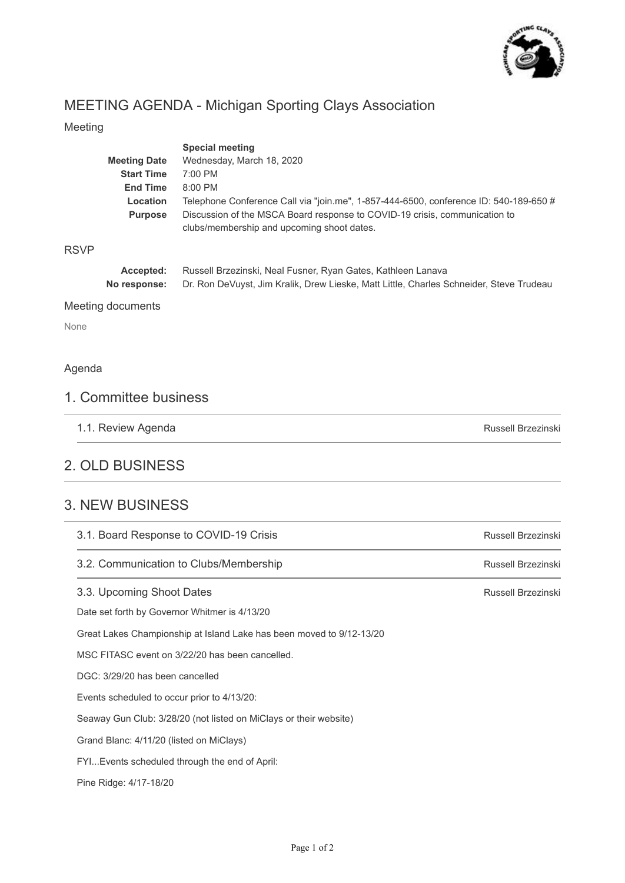

Russell Brzezinski

## MEETING AGENDA - Michigan Sporting Clays Association

#### Meeting

|                   | <b>Meeting Date</b><br><b>Start Time</b><br><b>End Time</b><br>Location<br><b>Purpose</b> | <b>Special meeting</b><br>Wednesday, March 18, 2020<br>7:00 PM<br>8:00 PM<br>Telephone Conference Call via "join.me", 1-857-444-6500, conference ID: 540-189-650 $\#$<br>Discussion of the MSCA Board response to COVID-19 crisis, communication to<br>clubs/membership and upcoming shoot dates. |  |
|-------------------|-------------------------------------------------------------------------------------------|---------------------------------------------------------------------------------------------------------------------------------------------------------------------------------------------------------------------------------------------------------------------------------------------------|--|
| <b>RSVP</b>       |                                                                                           |                                                                                                                                                                                                                                                                                                   |  |
|                   | Accepted:<br>No response:                                                                 | Russell Brzezinski, Neal Fusner, Ryan Gates, Kathleen Lanava<br>Dr. Ron DeVuyst, Jim Kralik, Drew Lieske, Matt Little, Charles Schneider, Steve Trudeau                                                                                                                                           |  |
| Meeting documents |                                                                                           |                                                                                                                                                                                                                                                                                                   |  |
| None              |                                                                                           |                                                                                                                                                                                                                                                                                                   |  |
| Agenda            |                                                                                           |                                                                                                                                                                                                                                                                                                   |  |

# 1. Committee business

1.1. Review Agenda

### 2. OLD BUSINESS

#### 3. NEW BUSINESS

| 3.1. Board Response to COVID-19 Crisis                               | Russell Brzezinski |
|----------------------------------------------------------------------|--------------------|
| 3.2. Communication to Clubs/Membership                               | Russell Brzezinski |
| 3.3. Upcoming Shoot Dates                                            | Russell Brzezinski |
| Date set forth by Governor Whitmer is 4/13/20                        |                    |
| Great Lakes Championship at Island Lake has been moved to 9/12-13/20 |                    |
| MSC FITASC event on 3/22/20 has been cancelled.                      |                    |
| DGC: 3/29/20 has been cancelled                                      |                    |
| Events scheduled to occur prior to 4/13/20:                          |                    |
| Seaway Gun Club: 3/28/20 (not listed on MiClays or their website)    |                    |
| Grand Blanc: 4/11/20 (listed on MiClays)                             |                    |
| FYI Events scheduled through the end of April:                       |                    |
| Pine Ridge: 4/17-18/20                                               |                    |